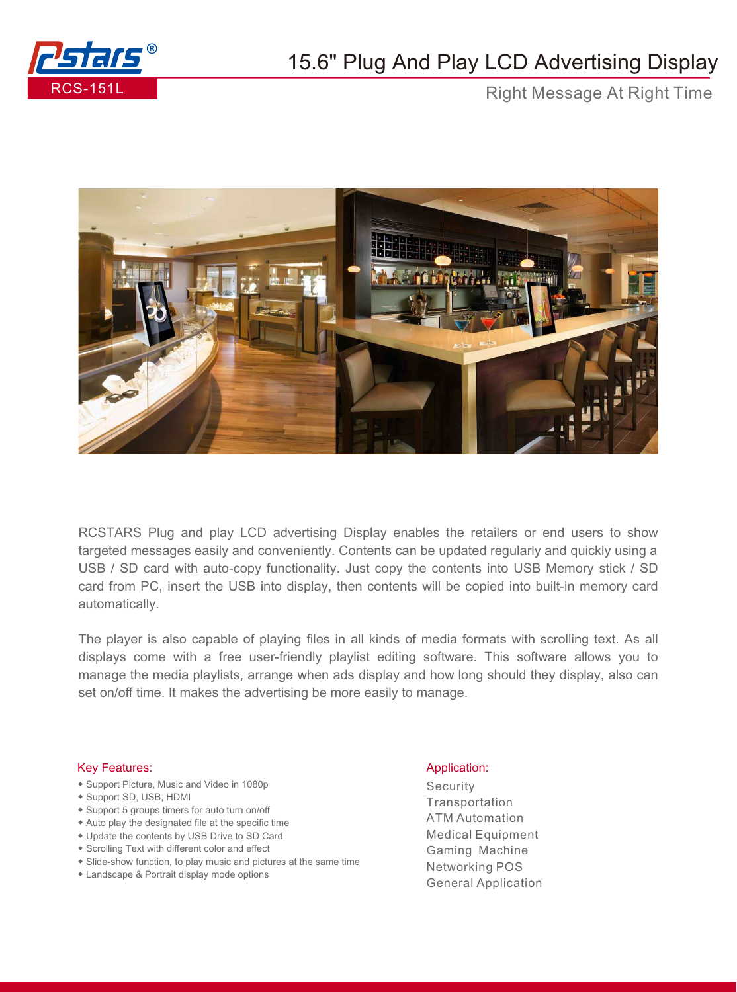

## 15.6" Plug And Play LCD Advertising Display

Right Message At Right Time



RCSTARS Plug and play LCD advertising Display enables the retailers or end users to show targeted messages easily and conveniently. Contents can be updated regularly and quickly using a USB / SD card with auto-copy functionality. Just copy the contents into USB Memory stick / SD card from PC, insert the USB into display, then contents will be copied into built-in memory card automatically.

The player is also capable of playing files in all kinds of media formats with scrolling text. As all displays come with a free user-friendly playlist editing software. This software allows you to manage the media playlists, arrange when ads display and how long should they display, also can set on/off time. It makes the advertising be more easily to manage.

## Key Features: Application: Application: Application: Application: Application: Application: Application: Application: Application: Application: Application: Application: Application: Application: Application: Application:

- ◆ Support Picture, Music and Video in 1080p
- ◆ Support SD, USB, HDMI
- ◆ Support 5 groups timers for auto turn on/off
- ◆ Auto play the designated file at the specific time
- ◆ Update the contents by USB Drive to SD Card
- ◆ Scrolling Text with different color and effect
- ◆ Slide-show function, to play music and pictures at the same time
- ◆ Landscape & Portrait display mode options

Security **Transportation** ATM Automation Medical Equipment Gaming Machine Networking POS General Application